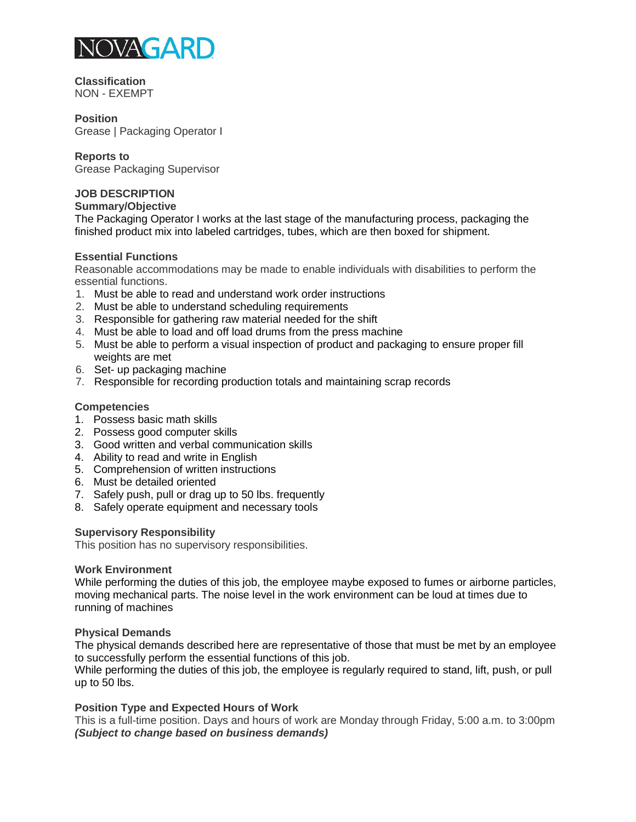

**Classification** NON - EXEMPT

#### **Position**

Grease | Packaging Operator I

## **Reports to**

Grease Packaging Supervisor

# **JOB DESCRIPTION**

**Summary/Objective** 

The Packaging Operator I works at the last stage of the manufacturing process, packaging the finished product mix into labeled cartridges, tubes, which are then boxed for shipment.

## **Essential Functions**

Reasonable accommodations may be made to enable individuals with disabilities to perform the essential functions.

- 1. Must be able to read and understand work order instructions
- 2. Must be able to understand scheduling requirements
- 3. Responsible for gathering raw material needed for the shift
- 4. Must be able to load and off load drums from the press machine
- 5. Must be able to perform a visual inspection of product and packaging to ensure proper fill weights are met
- 6. Set- up packaging machine
- 7. Responsible for recording production totals and maintaining scrap records

## **Competencies**

- 1. Possess basic math skills
- 2. Possess good computer skills
- 3. Good written and verbal communication skills
- 4. Ability to read and write in English
- 5. Comprehension of written instructions
- 6. Must be detailed oriented
- 7. Safely push, pull or drag up to 50 lbs. frequently
- 8. Safely operate equipment and necessary tools

#### **Supervisory Responsibility**

This position has no supervisory responsibilities.

#### **Work Environment**

While performing the duties of this job, the employee maybe exposed to fumes or airborne particles, moving mechanical parts. The noise level in the work environment can be loud at times due to running of machines

#### **Physical Demands**

The physical demands described here are representative of those that must be met by an employee to successfully perform the essential functions of this job.

While performing the duties of this job, the employee is regularly required to stand, lift, push, or pull up to 50 lbs.

## **Position Type and Expected Hours of Work**

This is a full-time position. Days and hours of work are Monday through Friday, 5:00 a.m. to 3:00pm *(Subject to change based on business demands)*